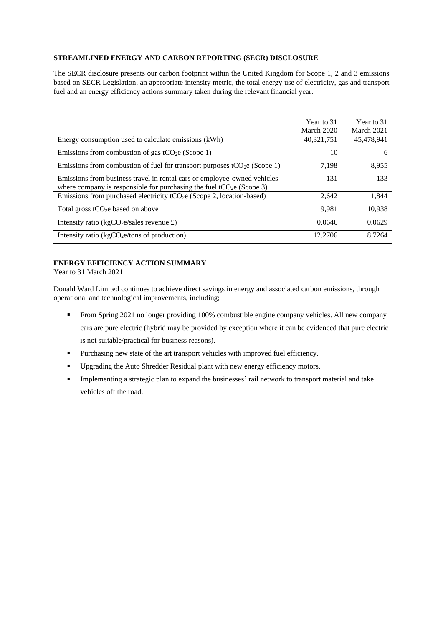## **STREAMLINED ENERGY AND CARBON REPORTING (SECR) DISCLOSURE**

The SECR disclosure presents our carbon footprint within the United Kingdom for Scope 1, 2 and 3 emissions based on SECR Legislation, an appropriate intensity metric, the total energy use of electricity, gas and transport fuel and an energy efficiency actions summary taken during the relevant financial year.

|                                                                                       | Year to 31 | Year to 31 |
|---------------------------------------------------------------------------------------|------------|------------|
|                                                                                       | March 2020 | March 2021 |
| Energy consumption used to calculate emissions (kWh)                                  | 40,321,751 | 45,478,941 |
| Emissions from combustion of gas $tCO2e$ (Scope 1)                                    | 10         | 6          |
| Emissions from combustion of fuel for transport purposes tCO <sub>2</sub> e (Scope 1) | 7.198      | 8,955      |
| Emissions from business travel in rental cars or employee-owned vehicles              | 131        | 133        |
| where company is responsible for purchasing the fuel $tCO_2e$ (Scope 3)               |            |            |
| Emissions from purchased electricity tCO <sub>2</sub> e (Scope 2, location-based)     | 2,642      | 1,844      |
| Total gross tCO <sub>2</sub> e based on above                                         | 9.981      | 10.938     |
| Intensity ratio ( $kgCO2e/sales$ revenue £)                                           | 0.0646     | 0.0629     |
| Intensity ratio ( $kgCO2e/tons$ of production)                                        | 12.2706    | 8.7264     |

## **ENERGY EFFICIENCY ACTION SUMMARY**

Year to 31 March 2021

Donald Ward Limited continues to achieve direct savings in energy and associated carbon emissions, through operational and technological improvements, including;

- From Spring 2021 no longer providing 100% combustible engine company vehicles. All new company cars are pure electric (hybrid may be provided by exception where it can be evidenced that pure electric is not suitable/practical for business reasons).
- Purchasing new state of the art transport vehicles with improved fuel efficiency.
- Upgrading the Auto Shredder Residual plant with new energy efficiency motors.
- **•** Implementing a strategic plan to expand the businesses' rail network to transport material and take vehicles off the road.